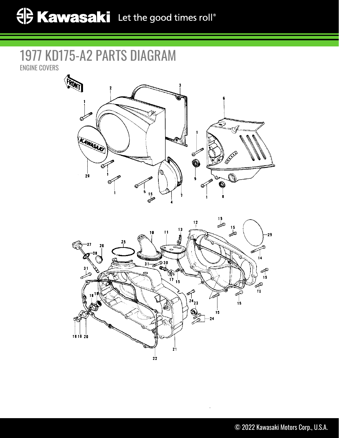## 1977 KD175-A2 PARTS DIAGRAM ENGINE COVERS



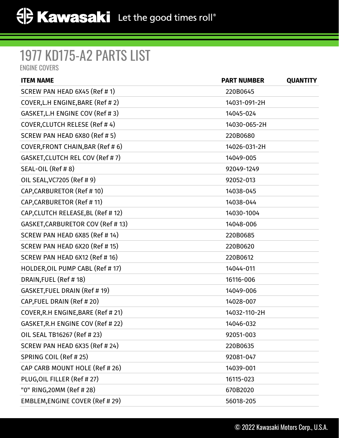## 1977 KD175-A2 PARTS LIST

ENGINE COVERS

| <b>ITEM NAME</b>                   | <b>PART NUMBER</b> | <b>QUANTITY</b> |
|------------------------------------|--------------------|-----------------|
| SCREW PAN HEAD 6X45 (Ref # 1)      | 220B0645           |                 |
| COVER, L.H ENGINE, BARE (Ref #2)   | 14031-091-2H       |                 |
| GASKET, L.H ENGINE COV (Ref # 3)   | 14045-024          |                 |
| COVER, CLUTCH RELESE (Ref #4)      | 14030-065-2H       |                 |
| SCREW PAN HEAD 6X80 (Ref # 5)      | 220B0680           |                 |
| COVER, FRONT CHAIN, BAR (Ref #6)   | 14026-031-2H       |                 |
| GASKET, CLUTCH REL COV (Ref #7)    | 14049-005          |                 |
| SEAL-OIL (Ref #8)                  | 92049-1249         |                 |
| OIL SEAL, VC7205 (Ref # 9)         | 92052-013          |                 |
| CAP, CARBURETOR (Ref # 10)         | 14038-045          |                 |
| CAP, CARBURETOR (Ref # 11)         | 14038-044          |                 |
| CAP, CLUTCH RELEASE, BL (Ref # 12) | 14030-1004         |                 |
| GASKET, CARBURETOR COV (Ref # 13)  | 14048-006          |                 |
| SCREW PAN HEAD 6X85 (Ref # 14)     | 220B0685           |                 |
| SCREW PAN HEAD 6X20 (Ref # 15)     | 220B0620           |                 |
| SCREW PAN HEAD 6X12 (Ref # 16)     | 220B0612           |                 |
| HOLDER, OIL PUMP CABL (Ref #17)    | 14044-011          |                 |
| DRAIN, FUEL (Ref #18)              | 16116-006          |                 |
| GASKET, FUEL DRAIN (Ref # 19)      | 14049-006          |                 |
| CAP, FUEL DRAIN (Ref #20)          | 14028-007          |                 |
| COVER, R.H ENGINE, BARE (Ref # 21) | 14032-110-2H       |                 |
| GASKET, R.H ENGINE COV (Ref # 22)  | 14046-032          |                 |
| OIL SEAL TB16267 (Ref # 23)        | 92051-003          |                 |
| SCREW PAN HEAD 6X35 (Ref # 24)     | 220B0635           |                 |
| SPRING COIL (Ref # 25)             | 92081-047          |                 |
| CAP CARB MOUNT HOLE (Ref # 26)     | 14039-001          |                 |
| PLUG, OIL FILLER (Ref # 27)        | 16115-023          |                 |
| "0" RING, 20MM (Ref # 28)          | 670B2020           |                 |
| EMBLEM, ENGINE COVER (Ref # 29)    | 56018-205          |                 |